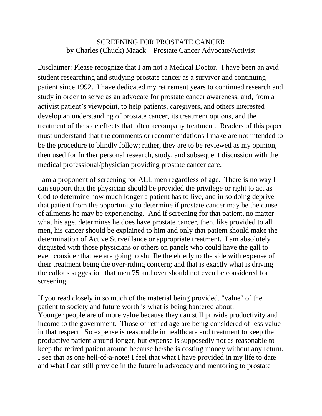## SCREENING FOR PROSTATE CANCER by Charles (Chuck) Maack – Prostate Cancer Advocate/Activist

Disclaimer: Please recognize that I am not a Medical Doctor. I have been an avid student researching and studying prostate cancer as a survivor and continuing patient since 1992. I have dedicated my retirement years to continued research and study in order to serve as an advocate for prostate cancer awareness, and, from a activist patient's viewpoint, to help patients, caregivers, and others interested develop an understanding of prostate cancer, its treatment options, and the treatment of the side effects that often accompany treatment. Readers of this paper must understand that the comments or recommendations I make are not intended to be the procedure to blindly follow; rather, they are to be reviewed as my opinion, then used for further personal research, study, and subsequent discussion with the medical professional/physician providing prostate cancer care.

I am a proponent of screening for ALL men regardless of age. There is no way I can support that the physician should be provided the privilege or right to act as God to determine how much longer a patient has to live, and in so doing deprive that patient from the opportunity to determine if prostate cancer may be the cause of ailments he may be experiencing. And if screening for that patient, no matter what his age, determines he does have prostate cancer, then, like provided to all men, his cancer should be explained to him and only that patient should make the determination of Active Surveillance or appropriate treatment. I am absolutely disgusted with those physicians or others on panels who could have the gall to even consider that we are going to shuffle the elderly to the side with expense of their treatment being the over-riding concern; and that is exactly what is driving the callous suggestion that men 75 and over should not even be considered for screening.

If you read closely in so much of the material being provided, "value" of the patient to society and future worth is what is being bantered about. Younger people are of more value because they can still provide productivity and income to the government. Those of retired age are being considered of less value in that respect. So expense is reasonable in healthcare and treatment to keep the productive patient around longer, but expense is supposedly not as reasonable to keep the retired patient around because he/she is costing money without any return. I see that as one hell-of-a-note! I feel that what I have provided in my life to date and what I can still provide in the future in advocacy and mentoring to prostate